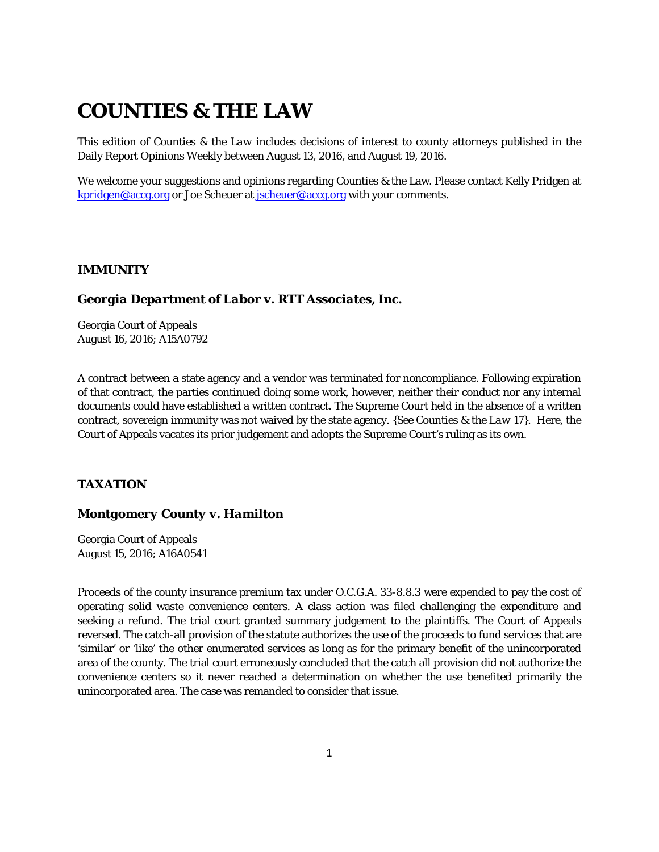# **COUNTIES & THE LAW**

This edition of *Counties & the Law* includes decisions of interest to county attorneys published in the Daily Report Opinions Weekly between August 13, 2016, and August 19, 2016.

We welcome your suggestions and opinions regarding Counties & the Law. Please contact Kelly Pridgen at [kpridgen@accg.org](mailto:kpridgen@accg.org) or Joe Scheuer at [jscheuer@accg.org](mailto:jscheuer@accg.org) with your comments.

#### *IMMUNITY*

#### *Georgia Department of Labor v. RTT Associates, Inc.*

Georgia Court of Appeals August 16, 2016; A15A0792

A contract between a state agency and a vendor was terminated for noncompliance. Following expiration of that contract, the parties continued doing some work, however, neither their conduct nor any internal documents could have established a written contract. The Supreme Court held in the absence of a written contract, sovereign immunity was not waived by the state agency. *{See Counties & the Law 17}.* Here, the Court of Appeals vacates its prior judgement and adopts the Supreme Court's ruling as its own.

# *TAXATION*

## *Montgomery County v. Hamilton*

Georgia Court of Appeals August 15, 2016; A16A0541

Proceeds of the county insurance premium tax under O.C.G.A. 33-8.8.3 were expended to pay the cost of operating solid waste convenience centers. A class action was filed challenging the expenditure and seeking a refund. The trial court granted summary judgement to the plaintiffs. The Court of Appeals reversed. The catch-all provision of the statute authorizes the use of the proceeds to fund services that are 'similar' or 'like' the other enumerated services as long as for the primary benefit of the unincorporated area of the county. The trial court erroneously concluded that the catch all provision did not authorize the convenience centers so it never reached a determination on whether the use benefited primarily the unincorporated area. The case was remanded to consider that issue.